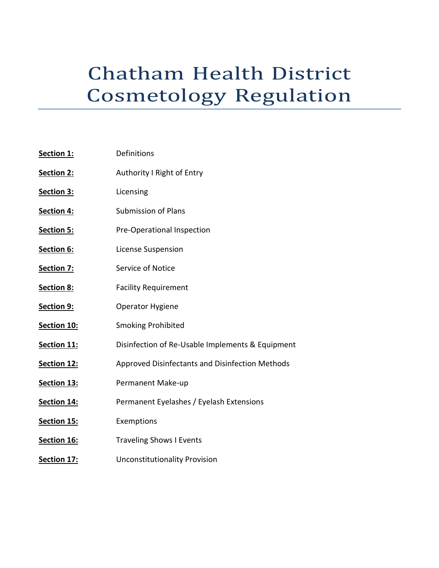# Chatham Health District Cosmetology Regulation

| Section 1:        | Definitions                                      |
|-------------------|--------------------------------------------------|
| Section 2:        | Authority I Right of Entry                       |
| Section 3:        | Licensing                                        |
| Section 4:        | <b>Submission of Plans</b>                       |
| <b>Section 5:</b> | Pre-Operational Inspection                       |
| Section 6:        | License Suspension                               |
| Section 7:        | Service of Notice                                |
| <b>Section 8:</b> | <b>Facility Requirement</b>                      |
| Section 9:        | Operator Hygiene                                 |
| Section 10:       | <b>Smoking Prohibited</b>                        |
| Section 11:       | Disinfection of Re-Usable Implements & Equipment |
| Section 12:       | Approved Disinfectants and Disinfection Methods  |
| Section 13:       | Permanent Make-up                                |
| Section 14:       | Permanent Eyelashes / Eyelash Extensions         |
| Section 15:       | Exemptions                                       |
| Section 16:       | <b>Traveling Shows I Events</b>                  |
| Section 17:       | <b>Unconstitutionality Provision</b>             |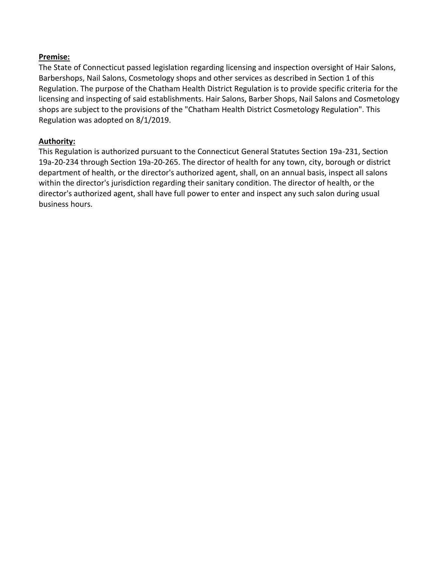#### **Premise:**

The State of Connecticut passed legislation regarding licensing and inspection oversight of Hair Salons, Barbershops, Nail Salons, Cosmetology shops and other services as described in Section 1 of this Regulation. The purpose of the Chatham Health District Regulation is to provide specific criteria for the licensing and inspecting of said establishments. Hair Salons, Barber Shops, Nail Salons and Cosmetology shops are subject to the provisions of the "Chatham Health District Cosmetology Regulation". This Regulation was adopted on 8/1/2019.

#### **Authority:**

This Regulation is authorized pursuant to the Connecticut General Statutes Section 19a-231, Section 19a-20-234 through Section 19a-20-265. The director of health for any town, city, borough or district department of health, or the director's authorized agent, shall, on an annual basis, inspect all salons within the director's jurisdiction regarding their sanitary condition. The director of health, or the director's authorized agent, shall have full power to enter and inspect any such salon during usual business hours.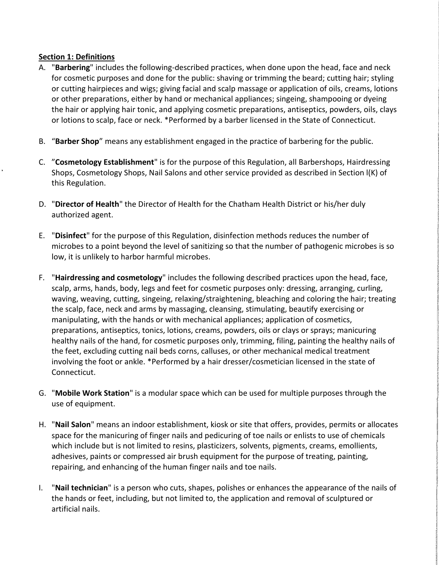#### **Section 1: Definitions**

- A. "**Barbering**" includes the following-described practices, when done upon the head, face and neck for cosmetic purposes and done for the public: shaving or trimming the beard; cutting hair; styling or cutting hairpieces and wigs; giving facial and scalp massage or application of oils, creams, lotions or other preparations, either by hand or mechanical appliances; singeing, shampooing or dyeing the hair or applying hair tonic, and applying cosmetic preparations, antiseptics, powders, oils, clays or lotions to scalp, face or neck. \*Performed by a barber licensed in the State of Connecticut.
- B. "**Barber Shop**" means any establishment engaged in the practice of barbering for the public.
- C. "**Cosmetology Establishment**" is for the purpose of this Regulation, all Barbershops, Hairdressing Shops, Cosmetology Shops, Nail Salons and other service provided as described in Section l(K) of this Regulation.
- D. "**Director of Health**" the Director of Health for the Chatham Health District or his/her duly authorized agent.
- E. "**Disinfect**" for the purpose of this Regulation, disinfection methods reduces the number of microbes to a point beyond the level of sanitizing so that the number of pathogenic microbes is so low, it is unlikely to harbor harmful microbes.
- F. "**Hairdressing and cosmetology**" includes the following described practices upon the head, face, scalp, arms, hands, body, legs and feet for cosmetic purposes only: dressing, arranging, curling, waving, weaving, cutting, singeing, relaxing/straightening, bleaching and coloring the hair; treating the scalp, face, neck and arms by massaging, cleansing, stimulating, beautify exercising or manipulating, with the hands or with mechanical appliances; application of cosmetics, preparations, antiseptics, tonics, lotions, creams, powders, oils or clays or sprays; manicuring healthy nails of the hand, for cosmetic purposes only, trimming, filing, painting the healthy nails of the feet, excluding cutting nail beds corns, calluses, or other mechanical medical treatment involving the foot or ankle. \*Performed by a hair dresser/cosmetician licensed in the state of Connecticut.
- G. "**Mobile Work Station**" is a modular space which can be used for multiple purposes through the use of equipment.
- H. "**Nail Salon**" means an indoor establishment, kiosk or site that offers, provides, permits or allocates space for the manicuring of finger nails and pedicuring of toe nails or enlists to use of chemicals which include but is not limited to resins, plasticizers, solvents, pigments, creams, emollients, adhesives, paints or compressed air brush equipment for the purpose of treating, painting, repairing, and enhancing of the human finger nails and toe nails.
- I. "**Nail technician**" is a person who cuts, shapes, polishes or enhances the appearance of the nails of the hands or feet, including, but not limited to, the application and removal of sculptured or artificial nails.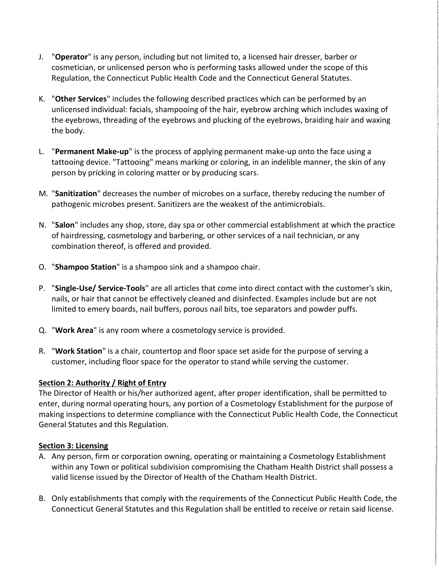- J. "**Operator**" is any person, including but not limited to, a licensed hair dresser, barber or cosmetician, or unlicensed person who is performing tasks allowed under the scope of this Regulation, the Connecticut Public Health Code and the Connecticut General Statutes.
- K. "**Other Services**" includes the following described practices which can be performed by an unlicensed individual: facials, shampooing of the hair, eyebrow arching which includes waxing of the eyebrows, threading of the eyebrows and plucking of the eyebrows, braiding hair and waxing the body.
- L. "**Permanent Make-up**" is the process of applying permanent make-up onto the face using a tattooing device. "Tattooing" means marking or coloring, in an indelible manner, the skin of any person by pricking in coloring matter or by producing scars.
- M. "**Sanitization**" decreases the number of microbes on a surface, thereby reducing the number of pathogenic microbes present. Sanitizers are the weakest of the antimicrobials.
- N. "**Salon**" includes any shop, store, day spa or other commercial establishment at which the practice of hairdressing, cosmetology and barbering, or other services of a nail technician, or any combination thereof, is offered and provided.
- O. "**Shampoo Station**" is a shampoo sink and a shampoo chair.
- P. "**Single-Use/ Service-Tools**" are all articles that come into direct contact with the customer's skin, nails, or hair that cannot be effectively cleaned and disinfected. Examples include but are not limited to emery boards, nail buffers, porous nail bits, toe separators and powder puffs.
- Q. "**Work Area**" is any room where a cosmetology service is provided.
- R. "**Work Station**" is a chair, countertop and floor space set aside for the purpose of serving a customer, including floor space for the operator to stand while serving the customer.

#### **Section 2: Authority / Right of Entry**

The Director of Health or his/her authorized agent, after proper identification, shall be permitted to enter, during normal operating hours, any portion of a Cosmetology Establishment for the purpose of making inspections to determine compliance with the Connecticut Public Health Code, the Connecticut General Statutes and this Regulation.

#### **Section 3: Licensing**

- A. Any person, firm or corporation owning, operating or maintaining a Cosmetology Establishment within any Town or political subdivision compromising the Chatham Health District shall possess a valid license issued by the Director of Health of the Chatham Health District.
- B. Only establishments that comply with the requirements of the Connecticut Public Health Code, the Connecticut General Statutes and this Regulation shall be entitled to receive or retain said license.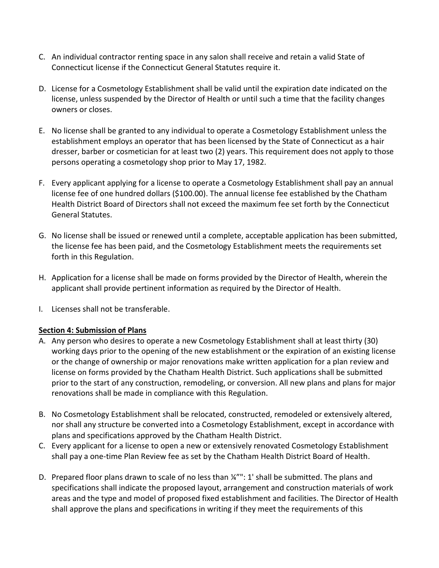- C. An individual contractor renting space in any salon shall receive and retain a valid State of Connecticut license if the Connecticut General Statutes require it.
- D. License for a Cosmetology Establishment shall be valid until the expiration date indicated on the license, unless suspended by the Director of Health or until such a time that the facility changes owners or closes.
- E. No license shall be granted to any individual to operate a Cosmetology Establishment unless the establishment employs an operator that has been licensed by the State of Connecticut as a hair dresser, barber or cosmetician for at least two (2) years. This requirement does not apply to those persons operating a cosmetology shop prior to May 17, 1982.
- F. Every applicant applying for a license to operate a Cosmetology Establishment shall pay an annual license fee of one hundred dollars (\$100.00). The annual license fee established by the Chatham Health District Board of Directors shall not exceed the maximum fee set forth by the Connecticut General Statutes.
- G. No license shall be issued or renewed until a complete, acceptable application has been submitted, the license fee has been paid, and the Cosmetology Establishment meets the requirements set forth in this Regulation.
- H. Application for a license shall be made on forms provided by the Director of Health, wherein the applicant shall provide pertinent information as required by the Director of Health.
- I. Licenses shall not be transferable.

#### **Section 4: Submission of Plans**

- A. Any person who desires to operate a new Cosmetology Establishment shall at least thirty (30) working days prior to the opening of the new establishment or the expiration of an existing license or the change of ownership or major renovations make written application for a plan review and license on forms provided by the Chatham Health District. Such applications shall be submitted prior to the start of any construction, remodeling, or conversion. All new plans and plans for major renovations shall be made in compliance with this Regulation.
- B. No Cosmetology Establishment shall be relocated, constructed, remodeled or extensively altered, nor shall any structure be converted into a Cosmetology Establishment, except in accordance with plans and specifications approved by the Chatham Health District.
- C. Every applicant for a license to open a new or extensively renovated Cosmetology Establishment shall pay a one-time Plan Review fee as set by the Chatham Health District Board of Health.
- D. Prepared floor plans drawn to scale of no less than  $\frac{1}{4}$ ": 1' shall be submitted. The plans and specifications shall indicate the proposed layout, arrangement and construction materials of work areas and the type and model of proposed fixed establishment and facilities. The Director of Health shall approve the plans and specifications in writing if they meet the requirements of this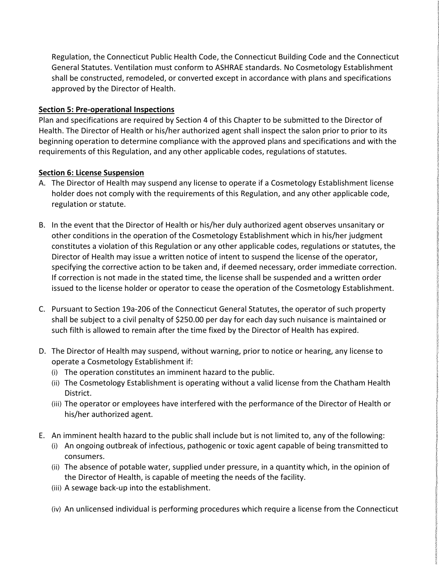Regulation, the Connecticut Public Health Code, the Connecticut Building Code and the Connecticut General Statutes. Ventilation must conform to ASHRAE standards. No Cosmetology Establishment shall be constructed, remodeled, or converted except in accordance with plans and specifications approved by the Director of Health.

#### **Section 5: Pre-operational Inspections**

Plan and specifications are required by Section 4 of this Chapter to be submitted to the Director of Health. The Director of Health or his/her authorized agent shall inspect the salon prior to prior to its beginning operation to determine compliance with the approved plans and specifications and with the requirements of this Regulation, and any other applicable codes, regulations of statutes.

#### **Section 6: License Suspension**

- A. The Director of Health may suspend any license to operate if a Cosmetology Establishment license holder does not comply with the requirements of this Regulation, and any other applicable code, regulation or statute.
- B. In the event that the Director of Health or his/her duly authorized agent observes unsanitary or other conditions in the operation of the Cosmetology Establishment which in his/her judgment constitutes a violation of this Regulation or any other applicable codes, regulations or statutes, the Director of Health may issue a written notice of intent to suspend the license of the operator, specifying the corrective action to be taken and, if deemed necessary, order immediate correction. If correction is not made in the stated time, the license shall be suspended and a written order issued to the license holder or operator to cease the operation of the Cosmetology Establishment.
- C. Pursuant to Section 19a-206 of the Connecticut General Statutes, the operator of such property shall be subject to a civil penalty of \$250.00 per day for each day such nuisance is maintained or such filth is allowed to remain after the time fixed by the Director of Health has expired.
- D. The Director of Health may suspend, without warning, prior to notice or hearing, any license to operate a Cosmetology Establishment if:
	- (i) The operation constitutes an imminent hazard to the public.
	- (ii) The Cosmetology Establishment is operating without a valid license from the Chatham Health District.
	- (iii) The operator or employees have interfered with the performance of the Director of Health or his/her authorized agent.
- E. An imminent health hazard to the public shall include but is not limited to, any of the following:
	- (i) An ongoing outbreak of infectious, pathogenic or toxic agent capable of being transmitted to consumers.
	- (ii) The absence of potable water, supplied under pressure, in a quantity which, in the opinion of the Director of Health, is capable of meeting the needs of the facility.
	- (iii) A sewage back-up into the establishment.
	- (iv) An unlicensed individual is performing procedures which require a license from the Connecticut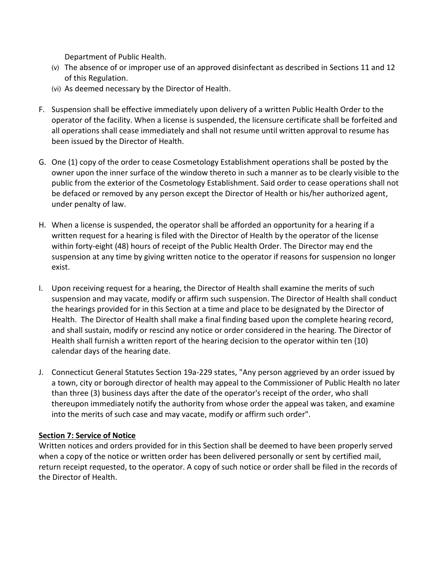Department of Public Health.

- (v) The absence of or improper use of an approved disinfectant as described in Sections 11 and 12 of this Regulation.
- (vi) As deemed necessary by the Director of Health.
- F. Suspension shall be effective immediately upon delivery of a written Public Health Order to the operator of the facility. When a license is suspended, the licensure certificate shall be forfeited and all operations shall cease immediately and shall not resume until written approval to resume has been issued by the Director of Health.
- G. One (1) copy of the order to cease Cosmetology Establishment operations shall be posted by the owner upon the inner surface of the window thereto in such a manner as to be clearly visible to the public from the exterior of the Cosmetology Establishment. Said order to cease operations shall not be defaced or removed by any person except the Director of Health or his/her authorized agent, under penalty of law.
- H. When a license is suspended, the operator shall be afforded an opportunity for a hearing if a written request for a hearing is filed with the Director of Health by the operator of the license within forty-eight (48) hours of receipt of the Public Health Order. The Director may end the suspension at any time by giving written notice to the operator if reasons for suspension no longer exist.
- I. Upon receiving request for a hearing, the Director of Health shall examine the merits of such suspension and may vacate, modify or affirm such suspension. The Director of Health shall conduct the hearings provided for in this Section at a time and place to be designated by the Director of Health. The Director of Health shall make a final finding based upon the complete hearing record, and shall sustain, modify or rescind any notice or order considered in the hearing. The Director of Health shall furnish a written report of the hearing decision to the operator within ten {10) calendar days of the hearing date.
- J. Connecticut General Statutes Section 19a-229 states, "Any person aggrieved by an order issued by a town, city or borough director of health may appeal to the Commissioner of Public Health no later than three (3) business days after the date of the operator's receipt of the order, who shall thereupon immediately notify the authority from whose order the appeal was taken, and examine into the merits of such case and may vacate, modify or affirm such order".

#### **Section 7: Service of Notice**

Written notices and orders provided for in this Section shall be deemed to have been properly served when a copy of the notice or written order has been delivered personally or sent by certified mail, return receipt requested, to the operator. A copy of such notice or order shall be filed in the records of the Director of Health.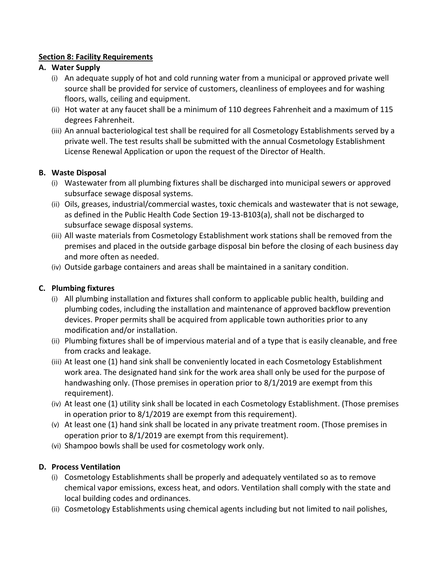# **Section 8: Facility Requirements**

# **A. Water Supply**

- (i) An adequate supply of hot and cold running water from a municipal or approved private well source shall be provided for service of customers, cleanliness of employees and for washing floors, walls, ceiling and equipment.
- (ii) Hot water at any faucet shall be a minimum of 110 degrees Fahrenheit and a maximum of 115 degrees Fahrenheit.
- (iii) An annual bacteriological test shall be required for all Cosmetology Establishments served by a private well. The test results shall be submitted with the annual Cosmetology Establishment License Renewal Application or upon the request of the Director of Health.

# **B. Waste Disposal**

- (i) Wastewater from all plumbing fixtures shall be discharged into municipal sewers or approved subsurface sewage disposal systems.
- (ii) Oils, greases, industrial/commercial wastes, toxic chemicals and wastewater that is not sewage, as defined in the Public Health Code Section 19-13-B103(a), shall not be discharged to subsurface sewage disposal systems.
- (iii) All waste materials from Cosmetology Establishment work stations shall be removed from the premises and placed in the outside garbage disposal bin before the closing of each business day and more often as needed.
- (iv) Outside garbage containers and areas shall be maintained in a sanitary condition.

# **C. Plumbing fixtures**

- (i) All plumbing installation and fixtures shall conform to applicable public health, building and plumbing codes, including the installation and maintenance of approved backflow prevention devices. Proper permits shall be acquired from applicable town authorities prior to any modification and/or installation.
- (ii) Plumbing fixtures shall be of impervious material and of a type that is easily cleanable, and free from cracks and leakage.
- (iii) At least one (1) hand sink shall be conveniently located in each Cosmetology Establishment work area. The designated hand sink for the work area shall only be used for the purpose of handwashing only. (Those premises in operation prior to 8/1/2019 are exempt from this requirement).
- (iv) At least one (1) utility sink shall be located in each Cosmetology Establishment. (Those premises in operation prior to 8/1/2019 are exempt from this requirement).
- (v) At least one (1) hand sink shall be located in any private treatment room. (Those premises in operation prior to 8/1/2019 are exempt from this requirement).
- (vi) Shampoo bowls shall be used for cosmetology work only.

# **D. Process Ventilation**

- (i) Cosmetology Establishments shall be properly and adequately ventilated so as to remove chemical vapor emissions, excess heat, and odors. Ventilation shall comply with the state and local building codes and ordinances.
- (ii) Cosmetology Establishments using chemical agents including but not limited to nail polishes,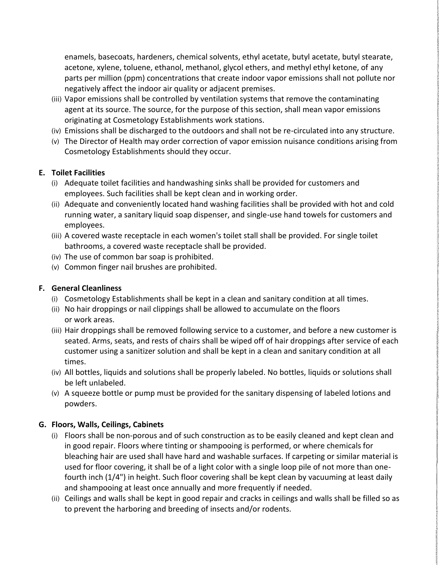enamels, basecoats, hardeners, chemical solvents, ethyl acetate, butyl acetate, butyl stearate, acetone, xylene, toluene, ethanol, methanol, glycol ethers, and methyl ethyl ketone, of any parts per million (ppm) concentrations that create indoor vapor emissions shall not pollute nor negatively affect the indoor air quality or adjacent premises.

- (iii) Vapor emissions shall be controlled by ventilation systems that remove the contaminating agent at its source. The source, for the purpose of this section, shall mean vapor emissions originating at Cosmetology Establishments work stations.
- (iv) Emissions shall be discharged to the outdoors and shall not be re-circulated into any structure.
- (v) The Director of Health may order correction of vapor emission nuisance conditions arising from Cosmetology Establishments should they occur.

#### **E. Toilet Facilities**

- (i) Adequate toilet facilities and handwashing sinks shall be provided for customers and employees. Such facilities shall be kept clean and in working order.
- (ii) Adequate and conveniently located hand washing facilities shall be provided with hot and cold running water, a sanitary liquid soap dispenser, and single-use hand towels for customers and employees.
- (iii) A covered waste receptacle in each women's toilet stall shall be provided. For single toilet bathrooms, a covered waste receptacle shall be provided.
- (iv) The use of common bar soap is prohibited.
- (v) Common finger nail brushes are prohibited.

# **F. General Cleanliness**

- (i) Cosmetology Establishments shall be kept in a clean and sanitary condition at all times.
- (ii) No hair droppings or nail clippings shall be allowed to accumulate on the floors or work areas.
- (iii) Hair droppings shall be removed following service to a customer, and before a new customer is seated. Arms, seats, and rests of chairs shall be wiped off of hair droppings after service of each customer using a sanitizer solution and shall be kept in a clean and sanitary condition at all times.
- (iv) All bottles, liquids and solutions shall be properly labeled. No bottles, liquids or solutions shall be left unlabeled.
- (v) A squeeze bottle or pump must be provided for the sanitary dispensing of labeled lotions and powders.

# **G. Floors, Walls, Ceilings, Cabinets**

- (i) Floors shall be non-porous and of such construction as to be easily cleaned and kept clean and in good repair. Floors where tinting or shampooing is performed, or where chemicals for bleaching hair are used shall have hard and washable surfaces. If carpeting or similar material is used for floor covering, it shall be of a light color with a single loop pile of not more than onefourth inch (1/4") in height. Such floor covering shall be kept clean by vacuuming at least daily and shampooing at least once annually and more frequently if needed.
- (ii) Ceilings and walls shall be kept in good repair and cracks in ceilings and walls shall be filled so as to prevent the harboring and breeding of insects and/or rodents.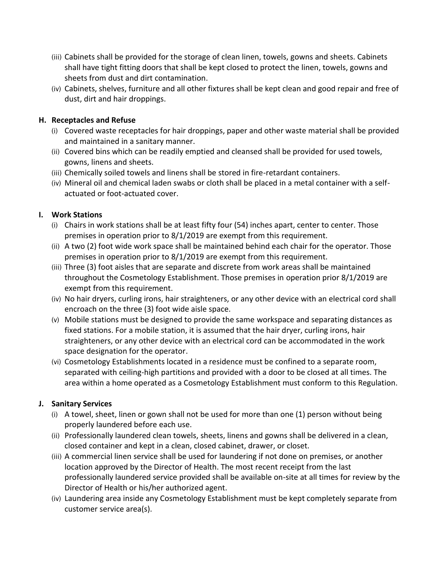- (iii) Cabinets shall be provided for the storage of clean linen, towels, gowns and sheets. Cabinets shall have tight fitting doors that shall be kept closed to protect the linen, towels, gowns and sheets from dust and dirt contamination.
- (iv) Cabinets, shelves, furniture and all other fixtures shall be kept clean and good repair and free of dust, dirt and hair droppings.

## **H. Receptacles and Refuse**

- (i) Covered waste receptacles for hair droppings, paper and other waste material shall be provided and maintained in a sanitary manner.
- (ii) Covered bins which can be readily emptied and cleansed shall be provided for used towels, gowns, linens and sheets.
- (iii) Chemically soiled towels and linens shall be stored in fire-retardant containers.
- (iv) Mineral oil and chemical laden swabs or cloth shall be placed in a metal container with a selfactuated or foot-actuated cover.

# **I. Work Stations**

- (i) Chairs in work stations shall be at least fifty four (54) inches apart, center to center. Those premises in operation prior to 8/1/2019 are exempt from this requirement.
- (ii) A two (2) foot wide work space shall be maintained behind each chair for the operator. Those premises in operation prior to 8/1/2019 are exempt from this requirement.
- (iii) Three (3) foot aisles that are separate and discrete from work areas shall be maintained throughout the Cosmetology Establishment. Those premises in operation prior 8/1/2019 are exempt from this requirement.
- (iv) No hair dryers, curling irons, hair straighteners, or any other device with an electrical cord shall encroach on the three (3) foot wide aisle space.
- (v) Mobile stations must be designed to provide the same workspace and separating distances as fixed stations. For a mobile station, it is assumed that the hair dryer, curling irons, hair straighteners, or any other device with an electrical cord can be accommodated in the work space designation for the operator.
- (vi) Cosmetology Establishments located in a residence must be confined to a separate room, separated with ceiling-high partitions and provided with a door to be closed at all times. The area within a home operated as a Cosmetology Establishment must conform to this Regulation.

# **J. Sanitary Services**

- (i) A towel, sheet, linen or gown shall not be used for more than one (1) person without being properly laundered before each use.
- (ii) Professionally laundered clean towels, sheets, linens and gowns shall be delivered in a clean, closed container and kept in a clean, closed cabinet, drawer, or closet.
- (iii) A commercial linen service shall be used for laundering if not done on premises, or another location approved by the Director of Health. The most recent receipt from the last professionally laundered service provided shall be available on-site at all times for review by the Director of Health or his/her authorized agent.
- (iv) Laundering area inside any Cosmetology Establishment must be kept completely separate from customer service area(s).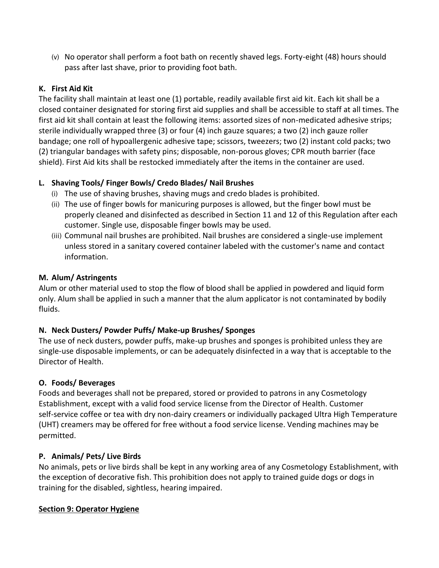(v) No operator shall perform a foot bath on recently shaved legs. Forty-eight (48) hours should pass after last shave, prior to providing foot bath.

# **K. First Aid Kit**

The facility shall maintain at least one (1) portable, readily available first aid kit. Each kit shall be a closed container designated for storing first aid supplies and shall be accessible to staff at all times. The first aid kit shall contain at least the following items: assorted sizes of non-medicated adhesive strips; sterile individually wrapped three (3) or four (4) inch gauze squares; a two (2) inch gauze roller bandage; one roll of hypoallergenic adhesive tape; scissors, tweezers; two (2) instant cold packs; two (2) triangular bandages with safety pins; disposable, non-porous gloves; CPR mouth barrier (face shield). First Aid kits shall be restocked immediately after the items in the container are used.

# **L. Shaving Tools/ Finger Bowls/ Credo Blades/ Nail Brushes**

- (i) The use of shaving brushes, shaving mugs and credo blades is prohibited.
- (ii) The use of finger bowls for manicuring purposes is allowed, but the finger bowl must be properly cleaned and disinfected as described in Section 11 and 12 of this Regulation after each customer. Single use, disposable finger bowls may be used.
- (iii) Communal nail brushes are prohibited. Nail brushes are considered a single-use implement unless stored in a sanitary covered container labeled with the customer's name and contact information.

# **M. Alum/ Astringents**

Alum or other material used to stop the flow of blood shall be applied in powdered and liquid form only. Alum shall be applied in such a manner that the alum applicator is not contaminated by bodily fluids.

# **N. Neck Dusters/ Powder Puffs/ Make-up Brushes/ Sponges**

The use of neck dusters, powder puffs, make-up brushes and sponges is prohibited unless they are single-use disposable implements, or can be adequately disinfected in a way that is acceptable to the Director of Health.

# **O. Foods/ Beverages**

Foods and beverages shall not be prepared, stored or provided to patrons in any Cosmetology Establishment, except with a valid food service license from the Director of Health. Customer self-service coffee or tea with dry non-dairy creamers or individually packaged Ultra High Temperature (UHT) creamers may be offered for free without a food service license. Vending machines may be permitted.

#### **P. Animals/ Pets/ Live Birds**

No animals, pets or live birds shall be kept in any working area of any Cosmetology Establishment, with the exception of decorative fish. This prohibition does not apply to trained guide dogs or dogs in training for the disabled, sightless, hearing impaired.

#### **Section 9: Operator Hygiene**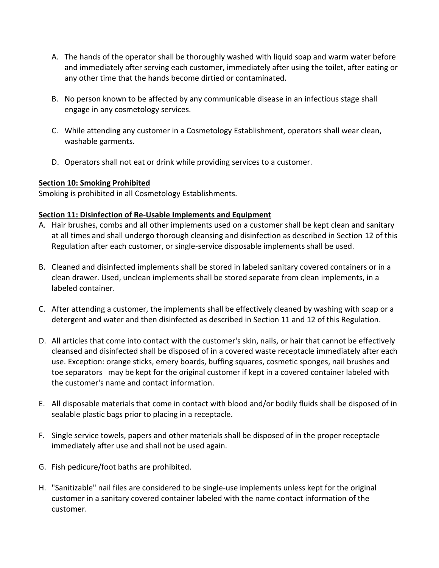- A. The hands of the operator shall be thoroughly washed with liquid soap and warm water before and immediately after serving each customer, immediately after using the toilet, after eating or any other time that the hands become dirtied or contaminated.
- B. No person known to be affected by any communicable disease in an infectious stage shall engage in any cosmetology services.
- C. While attending any customer in a Cosmetology Establishment, operators shall wear clean, washable garments.
- D. Operators shall not eat or drink while providing services to a customer.

#### **Section 10: Smoking Prohibited**

Smoking is prohibited in all Cosmetology Establishments.

# **Section 11: Disinfection of Re-Usable Implements and Equipment**

- A. Hair brushes, combs and all other implements used on a customer shall be kept clean and sanitary at all times and shall undergo thorough cleansing and disinfection as described in Section 12 of this Regulation after each customer, or single-service disposable implements shall be used.
- B. Cleaned and disinfected implements shall be stored in labeled sanitary covered containers or in a clean drawer. Used, unclean implements shall be stored separate from clean implements, in a labeled container.
- C. After attending a customer, the implements shall be effectively cleaned by washing with soap or a detergent and water and then disinfected as described in Section 11 and 12 of this Regulation.
- D. All articles that come into contact with the customer's skin, nails, or hair that cannot be effectively cleansed and disinfected shall be disposed of in a covered waste receptacle immediately after each use. Exception: orange sticks, emery boards, buffing squares, cosmetic sponges, nail brushes and toe separators may be kept for the original customer if kept in a covered container labeled with the customer's name and contact information.
- E. All disposable materials that come in contact with blood and/or bodily fluids shall be disposed of in sealable plastic bags prior to placing in a receptacle.
- F. Single service towels, papers and other materials shall be disposed of in the proper receptacle immediately after use and shall not be used again.
- G. Fish pedicure/foot baths are prohibited.
- H. "Sanitizable" nail files are considered to be single-use implements unless kept for the original customer in a sanitary covered container labeled with the name contact information of the customer.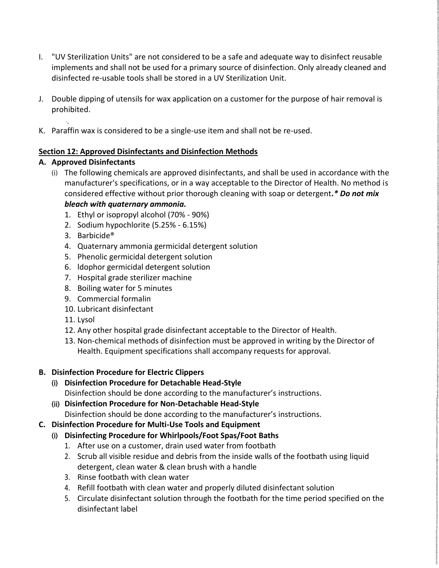- I. "UV Sterilization Units" are not considered to be a safe and adequate way to disinfect reusable implements and shall not be used for a primary source of disinfection. Only already cleaned and disinfected re-usable tools shall be stored in a UV Sterilization Unit.
- J. Double dipping of utensils for wax application on a customer for the purpose of hair removal is prohibited.
- K. Paraffin wax is considered to be a single-use item and shall not be re-used.

# **Section 12: Approved Disinfectants and Disinfection Methods**

# **A. Approved Disinfectants**

- (i) The following chemicals are approved disinfectants, and shall be used in accordance with the manufacturer's specifications, or in a way acceptable to the Director of Health. No method is considered effective without prior thorough cleaning with soap or detergent*.\* Do not mix bleach with quaternary ammonia.*
	- 1. Ethyl or isopropyl alcohol (70% 90%)
	- 2. Sodium hypochlorite (5.25% 6.15%)
	- 3. Barbicide®
	- 4. Quaternary ammonia germicidal detergent solution
	- 5. Phenolic germicidal detergent solution
	- 6. ldophor germicidal detergent solution
	- 7. Hospital grade sterilizer machine
	- 8. Boiling water for 5 minutes
	- 9. Commercial formalin
	- 10. Lubricant disinfectant
	- 11. Lysol
	- 12. Any other hospital grade disinfectant acceptable to the Director of Health.
	- 13. Non-chemical methods of disinfection must be approved in writing by the Director of Health. Equipment specifications shall accompany requests for approval.

#### **B. Disinfection Procedure for Electric Clippers**

- (i) **Disinfection Procedure for Detachable Head-Style** Disinfection should be done according to the manufacturer's instructions.
- (ii) **Disinfection Procedure for Non-Detachable Head-Style** Disinfection should be done according to the manufacturer's instructions.

# **C. Disinfection Procedure for Multi-Use Tools and Equipment**

- (i) **Disinfecting Procedure for Whirlpools/Foot Spas/Foot Baths**
	- 1. After use on a customer, drain used water from footbath
	- 2. Scrub all visible residue and debris from the inside walls of the footbath using liquid detergent, clean water & clean brush with a handle
	- 3. Rinse footbath with clean water
	- 4. Refill footbath with clean water and properly diluted disinfectant solution
	- 5. Circulate disinfectant solution through the footbath for the time period specified on the disinfectant label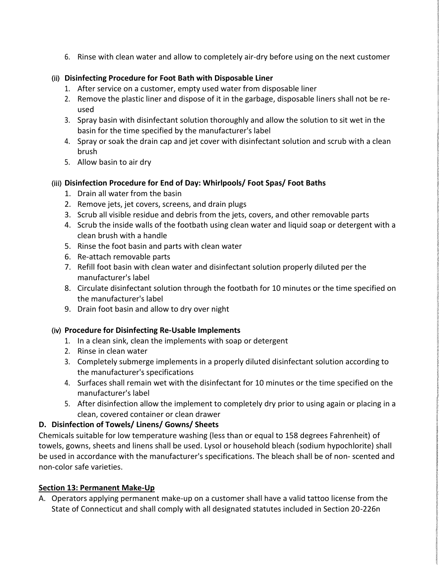6. Rinse with clean water and allow to completely air-dry before using on the next customer

## (ii) **Disinfecting Procedure for Foot Bath with Disposable Liner**

- 1. After service on a customer, empty used water from disposable liner
- 2. Remove the plastic liner and dispose of it in the garbage, disposable liners shall not be reused
- 3. Spray basin with disinfectant solution thoroughly and allow the solution to sit wet in the basin for the time specified by the manufacturer's label
- 4. Spray or soak the drain cap and jet cover with disinfectant solution and scrub with a clean brush
- 5. Allow basin to air dry

# (iii) **Disinfection Procedure for End of Day: Whirlpools/ Foot Spas/ Foot Baths**

- 1. Drain all water from the basin
- 2. Remove jets, jet covers, screens, and drain plugs
- 3. Scrub all visible residue and debris from the jets, covers, and other removable parts
- 4. Scrub the inside walls of the footbath using clean water and liquid soap or detergent with a clean brush with a handle
- 5. Rinse the foot basin and parts with clean water
- 6. Re-attach removable parts
- 7. Refill foot basin with clean water and disinfectant solution properly diluted per the manufacturer's label
- 8. Circulate disinfectant solution through the footbath for 10 minutes or the time specified on the manufacturer's label
- 9. Drain foot basin and allow to dry over night

#### (iv) **Procedure for Disinfecting Re-Usable Implements**

- 1. In a clean sink, clean the implements with soap or detergent
- 2. Rinse in clean water
- 3. Completely submerge implements in a properly diluted disinfectant solution according to the manufacturer's specifications
- 4. Surfaces shall remain wet with the disinfectant for 10 minutes or the time specified on the manufacturer's label
- 5. After disinfection allow the implement to completely dry prior to using again or placing in a clean, covered container or clean drawer

# **D. Disinfection of Towels/ Linens/ Gowns/ Sheets**

Chemicals suitable for low temperature washing (less than or equal to 158 degrees Fahrenheit) of towels, gowns, sheets and linens shall be used. Lysol or household bleach (sodium hypochlorite) shall be used in accordance with the manufacturer's specifications. The bleach shall be of non- scented and non-color safe varieties.

#### **Section 13: Permanent Make-Up**

A. Operators applying permanent make-up on a customer shall have a valid tattoo license from the State of Connecticut and shall comply with all designated statutes included in Section 20-226n